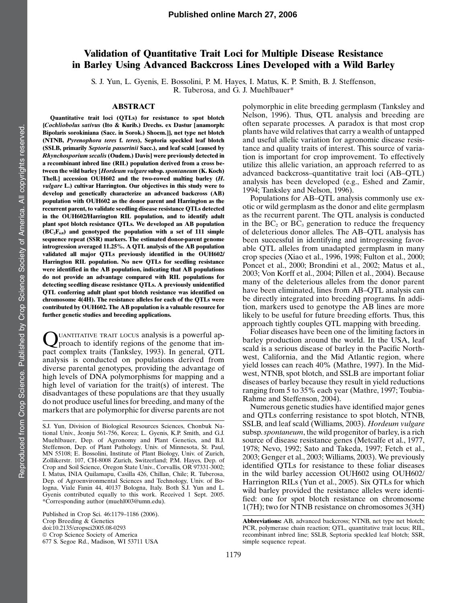# Validation of Quantitative Trait Loci for Multiple Disease Resistance in Barley Using Advanced Backcross Lines Developed with a Wild Barley

S. J. Yun, L. Gyenis, E. Bossolini, P. M. Hayes, I. Matus, K. P. Smith, B. J. Steffenson, R. Tuberosa, and G. J. Muehlbauer\*

### ABSTRACT

Quantitative trait loci (QTLs) for resistance to spot blotch {Cochliobolus sativus (Ito & Kurib.) Drechs. ex Dastur [anamorph: Bipolaris sorokiniana (Sacc. in Sorok.) Shoem.]}, net type net blotch (NTNB, Pyrenophora teres f. teres), Septoria speckled leaf blotch (SSLB, primarily Septoria passerinii Sacc.), and leaf scald [caused by Rhynchosporium secalis (Oudem.) Davis] were previously detected in a recombinant inbred line (RIL) population derived from a cross between the wild barley [Hordeum vulgare subsp. spontaneum (K. Koch) Thell.] accession OUH602 and the two-rowed malting barley (H. vulgare L.) cultivar Harrington. Our objectives in this study were to develop and genetically characterize an advanced backcross (AB) population with OUH602 as the donor parent and Harrington as the recurrent parent, to validate seedling disease resistance QTLs detected in the OUH602/Harrington RIL population, and to identify adult plant spot blotch resistance QTLs. We developed an AB population  $(BC<sub>2</sub>F<sub>6:8</sub>)$  and genotyped the population with a set of 111 simple sequence repeat (SSR) markers. The estimated donor-parent genome introgression averaged 11.25%. A QTL analysis of the AB population validated all major QTLs previously identified in the OUH602/ Harrington RIL population. No new QTLs for seedling resistance were identified in the AB population, indicating that AB populations do not provide an advantage compared with RIL populations for detecting seedling disease resistance QTLs. A previously unidentified QTL conferring adult plant spot blotch resistance was identified on chromosome 4(4H). The resistance alleles for each of the QTLs were contributed by OUH602. The AB population is a valuable resource for further genetic studies and breeding applications.

QUANTITATIVE TRAIT LOCUS analysis is a powerful approach to identify regions of the genome that impact complex traits (Tanksley, 1993). In general, QTL analysis is conducted on populations derived from diverse parental genotypes, providing the advantage of high levels of DNA polymorphisms for mapping and a high level of variation for the trait(s) of interest. The disadvantages of these populations are that they usually do not produce useful lines for breeding, and many of the markers that are polymorphic for diverse parents are not

Published in Crop Sci. 46:1179–1186 (2006). Crop Breeding & Genetics doi:10.2135/cropsci2005.08-0293 © Crop Science Society of America 677 S. Segoe Rd., Madison, WI 53711 USA

polymorphic in elite breeding germplasm (Tanksley and Nelson, 1996). Thus, QTL analysis and breeding are often separate processes. A paradox is that most crop plants have wild relatives that carry a wealth of untapped and useful allelic variation for agronomic disease resistance and quality traits of interest. This source of variation is important for crop improvement. To effectively utilize this allelic variation, an approach referred to as advanced backcross–quantitative trait loci (AB–QTL) analysis has been developed (e.g., Eshed and Zamir, 1994; Tanksley and Nelson, 1996).

Populations for AB–QTL analysis commonly use exotic or wild germplasm as the donor and elite germplasm as the recurrent parent. The QTL analysis is conducted in the  $BC_2$  or  $BC_3$  generation to reduce the frequency of deleterious donor alleles. The AB–QTL analysis has been successful in identifying and introgressing favorable QTL alleles from unadapted germplasm in many crop species (Xiao et al., 1996, 1998; Fulton et al., 2000; Poncet et al., 2000; Brondini et al., 2002; Matus et al., 2003; Von Korff et al., 2004; Pillen et al., 2004). Because many of the deleterious alleles from the donor parent have been eliminated, lines from AB–QTL analysis can be directly integrated into breeding programs. In addition, markers used to genotype the AB lines are more likely to be useful for future breeding efforts. Thus, this approach tightly couples QTL mapping with breeding.

Foliar diseases have been one of the limiting factors in barley production around the world. In the USA, leaf scald is a serious disease of barley in the Pacific Northwest, California, and the Mid Atlantic region, where yield losses can reach 40% (Mathre, 1997). In the Midwest, NTNB, spot blotch, and SSLB are important foliar diseases of barley because they result in yield reductions ranging from 5 to 35% each year (Mathre, 1997; Toubia-Rahme and Steffenson, 2004).

Numerous genetic studies have identified major genes and QTLs conferring resistance to spot blotch, NTNB, SSLB, and leaf scald (Williams, 2003). Hordeum vulgare subsp. *spontaneum*, the wild progenitor of barley, is a rich source of disease resistance genes (Metcalfe et al., 1977, 1978; Nevo, 1992; Sato and Takeda, 1997; Fetch et al., 2003; Genger et al., 2003; Williams, 2003). We previously identified QTLs for resistance to these foliar diseases in the wild barley accession OUH602 using OUH602/ Harrington RILs (Yun et al., 2005). Six QTLs for which wild barley provided the resistance alleles were identified: one for spot blotch resistance on chromosome 1(7H); two for NTNB resistance on chromosomes 3(3H)

S.J. Yun, Division of Biological Resources Sciences, Chonbuk National Univ., Jeonju 561-756, Korea; L. Gyenis, K.P. Smith, and G.J. Muehlbauer, Dep. of Agronomy and Plant Genetics, and B.J. Steffenson, Dep. of Plant Pathology, Univ. of Minnesota, St. Paul, MN 55108; E. Bossolini, Institute of Plant Biology, Univ. of Zurich, Zollikerstr. 107, CH-8008 Zurich, Switzerland; P.M. Hayes, Dep. of Crop and Soil Science, Oregon State Univ., Corvallis, OR 97331-3002; I. Matus, INIA Quilamapu, Casilla 426, Chillan, Chile; R. Tuberosa, Dep. of Agroenvironmental Sciences and Technology, Univ. of Bologna, Viale Fanin 44, 40137 Bologna, Italy. Both S.J. Yun and L. Gyenis contributed equally to this work. Received 1 Sept. 2005. \*Corresponding author (muehl003@umn.edu).

Abbreviations: AB, advanced backcross; NTNB, net type net blotch; PCR, polymerase chain reaction; QTL, quantitative trait locus; RIL, recombinant inbred line; SSLB, Septoria speckled leaf blotch; SSR, simple sequence repeat.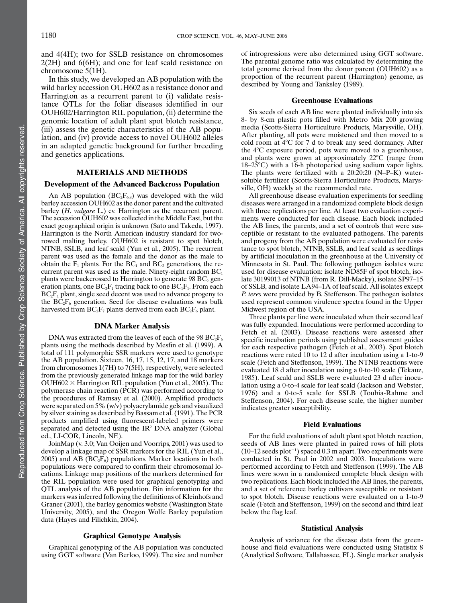and 4(4H); two for SSLB resistance on chromosomes  $2(2H)$  and  $6(6H)$ ; and one for leaf scald resistance on chromosome 5(1H).

In this study, we developed an AB population with the wild barley accession OUH602 as a resistance donor and Harrington as a recurrent parent to (i) validate resistance QTLs for the foliar diseases identified in our OUH602/Harrington RIL population, (ii) determine the genomic location of adult plant spot blotch resistance, (iii) assess the genetic characteristics of the AB population, and (iv) provide access to novel OUH602 alleles in an adapted genetic background for further breeding and genetics applications.

#### MATERIALS AND METHODS

#### Development of the Advanced Backcross Population

An AB population  $(BC_2F_{6:8})$  was developed with the wild barley accession OUH602 as the donor parent and the cultivated barley (*H. vulgare L.*) cv. Harrington as the recurrent parent. The accession OUH602 was collected in the Middle East, but the exact geographical origin is unknown (Sato and Takeda, 1997). Harrington is the North American industry standard for tworowed malting barley. OUH602 is resistant to spot blotch, NTNB, SSLB, and leaf scald (Yun et al., 2005). The recurrent parent was used as the female and the donor as the male to obtain the  $F_1$  plants. For the BC<sub>1</sub> and BC<sub>2</sub> generations, the recurrent parent was used as the male. Ninety-eight random  $BC<sub>1</sub>$ plants were backcrossed to Harrington to generate  $98 \text{ BC}_2$  generation plants, one  $BC_2F_1$  tracing back to one  $BC_1F_1$ . From each  $BC<sub>2</sub>F<sub>1</sub>$  plant, single seed decent was used to advance progeny to the  $\overline{BC}_2F_6$  generation. Seed for disease evaluations was bulk harvested from  $BC_2F_7$  plants derived from each  $BC_2F_6$  plant.

### DNA Marker Analysis

DNA was extracted from the leaves of each of the 98  $BC_2F_6$ plants using the methods described by Mesfin et al. (1999). A total of 111 polymorphic SSR markers were used to genotype the AB population. Sixteen, 16, 17, 15, 12, 17, and 18 markers from chromosomes 1(7H) to 7(5H), respectively, were selected from the previously generated linkage map for the wild barley  $OUH602 \times \text{Harrington RIL population (Yun et al., 2005).}$  The polymerase chain reaction  $(\hat{P} \hat{C} \hat{R})$  was performed according to the procedures of Ramsay et al. (2000). Amplified products were separated on 5% (w/v) polyacrylamide gels and visualized by silver staining as described by Bassam et al. (1991). The PCR products amplified using fluorescent-labeled primers were separated and detected using the IR<sup>2</sup> DNA analyzer (Global ed., LI-COR, Lincoln, NE).

JoinMap (v. 3.0; Van Ooijen and Voorrips, 2001) was used to develop a linkage map of SSR markers for the RIL (Yun et al., 2005) and AB  $(BC<sub>2</sub>F<sub>6</sub>)$  populations. Marker locations in both populations were compared to confirm their chromosomal locations. Linkage map positions of the markers determined for the RIL population were used for graphical genotyping and QTL analysis of the AB population. Bin information for the markers was inferred following the definitions of Kleinhofs and Graner (2001), the barley genomics website (Washington State University, 2005), and the Oregon Wolfe Barley population data (Hayes and Filichkin, 2004).

### Graphical Genotype Analysis

Graphical genotyping of the AB population was conducted using GGT software (Van Berloo, 1999). The size and number

of introgressions were also determined using GGT software. The parental genome ratio was calculated by determining the total genome derived from the donor parent (OUH602) as a proportion of the recurrent parent (Harrington) genome, as described by Young and Tanksley (1989).

#### Greenhouse Evaluations

Six seeds of each AB line were planted individually into six 8- by 8-cm plastic pots filled with Metro Mix 200 growing media (Scotts-Sierra Horticulture Products, Marysville, OH). After planting, all pots were moistened and then moved to a cold room at  $4^{\circ}$ C for 7 d to break any seed dormancy. After the  $4^{\circ}$ C exposure period, pots were moved to a greenhouse, and plants were grown at approximately  $22^{\circ}$ C (range from  $18-25^{\circ}$ C) with a 16-h photoperiod using sodium vapor lights. The plants were fertilized with a 20:20:20 (N–P–K) watersoluble fertilizer (Scotts-Sierra Horticulture Products, Marysville, OH) weekly at the recommended rate.

All greenhouse disease evaluation experiments for seedling diseases were arranged in a randomized complete block design with three replications per line. At least two evaluation experiments were conducted for each disease. Each block included the AB lines, the parents, and a set of controls that were susceptible or resistant to the evaluated pathogens. The parents and progeny from the AB population were evaluated for resistance to spot blotch, NTNB, SSLB, and leaf scald as seedlings by artificial inoculation in the greenhouse at the University of Minnesota in St. Paul. The following pathogen isolates were used for disease evaluation: isolate ND85F of spot blotch, isolate 30199013 of NTNB (from R. Dill-Macky), isolate SP97–15 of SSLB, and isolate LA94–1A of leaf scald. All isolates except P. teres were provided by B. Steffenson. The pathogen isolates used represent common virulence spectra found in the Upper Midwest region of the USA.

Three plants per line were inoculated when their second leaf was fully expanded. Inoculations were performed according to Fetch et al. (2003). Disease reactions were assessed after specific incubation periods using published assessment guides for each respective pathogen (Fetch et al., 2003). Spot blotch reactions were rated 10 to 12 d after incubation using a 1-to-9 scale (Fetch and Steffenson, 1999). The NTNB reactions were evaluated 18 d after inoculation using a 0-to-10 scale (Tekauz, 1985). Leaf scald and SSLB were evaluated 23 d after inoculation using a 0-to-4 scale for leaf scald (Jackson and Webster, 1976) and a 0-to-5 scale for SSLB (Toubia-Rahme and Steffenson, 2004). For each disease scale, the higher number indicates greater susceptibility.

#### Field Evaluations

For the field evaluations of adult plant spot blotch reaction, seeds of AB lines were planted in paired rows of hill plots  $(10-12 \text{ seeds plot}^{-1})$  spaced 0.3 m apart. Two experiments were conducted in St. Paul in 2002 and 2003. Inoculations were performed according to Fetch and Steffenson (1999). The AB lines were sown in a randomized complete block design with two replications. Each block included the AB lines, the parents, and a set of reference barley cultivars susceptible or resistant to spot blotch. Disease reactions were evaluated on a 1-to-9 scale (Fetch and Steffenson, 1999) on the second and third leaf below the flag leaf.

#### Statistical Analysis

Analysis of variance for the disease data from the greenhouse and field evaluations were conducted using Statistix 8 (Analytical Software, Tallahassee, FL). Single marker analysis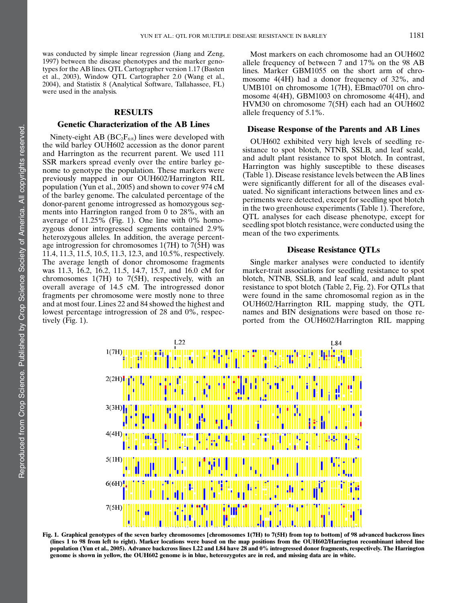was conducted by simple linear regression (Jiang and Zeng, 1997) between the disease phenotypes and the marker genotypes for the AB lines. QTL Cartographer version 1.17 (Basten et al., 2003), Window QTL Cartographer 2.0 (Wang et al., 2004), and Statistix 8 (Analytical Software, Tallahassee, FL) were used in the analysis.

# RESULTS

# Genetic Characterization of the AB Lines

Ninety-eight AB ( $BC_2F_{6:8}$ ) lines were developed with the wild barley OUH602 accession as the donor parent and Harrington as the recurrent parent. We used 111 SSR markers spread evenly over the entire barley genome to genotype the population. These markers were previously mapped in our OUH602/Harrington RIL population (Yun et al., 2005) and shown to cover 974 cM of the barley genome. The calculated percentage of the donor-parent genome introgressed as homozygous segments into Harrington ranged from 0 to 28%, with an average of 11.25% (Fig. 1). One line with 0% homozygous donor introgressed segments contained 2.9% heterozygous alleles. In addition, the average percentage introgression for chromosomes 1(7H) to 7(5H) was 11.4, 11.3, 11.5, 10.5, 11.3, 12.3, and 10.5%, respectively. The average length of donor chromosome fragments was 11.3, 16.2, 16.2, 11.5, 14.7, 15.7, and 16.0 cM for chromosomes 1(7H) to 7(5H), respectively, with an overall average of 14.5 cM. The introgressed donor fragments per chromosome were mostly none to three and at most four. Lines 22 and 84 showed the highest and lowest percentage introgression of 28 and 0%, respectively (Fig. 1).

Most markers on each chromosome had an OUH602 allele frequency of between 7 and 17% on the 98 AB lines. Marker GBM1055 on the short arm of chromosome 4(4H) had a donor frequency of 32%, and UMB101 on chromosome 1(7H), EBmac0701 on chromosome 4(4H), GBM1003 on chromosome 4(4H), and HVM30 on chromosome 7(5H) each had an OUH602 allele frequency of 5.1%.

### Disease Response of the Parents and AB Lines

OUH602 exhibited very high levels of seedling resistance to spot blotch, NTNB, SSLB, and leaf scald, and adult plant resistance to spot blotch. In contrast, Harrington was highly susceptible to these diseases (Table 1). Disease resistance levels between the AB lines were significantly different for all of the diseases evaluated. No significant interactions between lines and experiments were detected, except for seedling spot blotch in the two greenhouse experiments (Table 1). Therefore, QTL analyses for each disease phenotype, except for seedling spot blotch resistance, were conducted using the mean of the two experiments.

### Disease Resistance QTLs

Single marker analyses were conducted to identify marker-trait associations for seedling resistance to spot blotch, NTNB, SSLB, and leaf scald, and adult plant resistance to spot blotch (Table 2, Fig. 2). For QTLs that were found in the same chromosomal region as in the OUH602/Harrington RIL mapping study, the QTL names and BIN designations were based on those reported from the OUH602/Harrington RIL mapping



Fig. 1. Graphical genotypes of the seven barley chromosomes [chromosomes 1(7H) to 7(5H) from top to bottom] of 98 advanced backcross lines (lines 1 to 98 from left to right). Marker locations were based on the map positions from the OUH602/Harrington recombinant inbred line population (Yun et al., 2005). Advance backcross lines L22 and L84 have 28 and 0% introgressed donor fragments, respectively. The Harrington genome is shown in yellow, the OUH602 genome is in blue, heterozygotes are in red, and missing data are in white.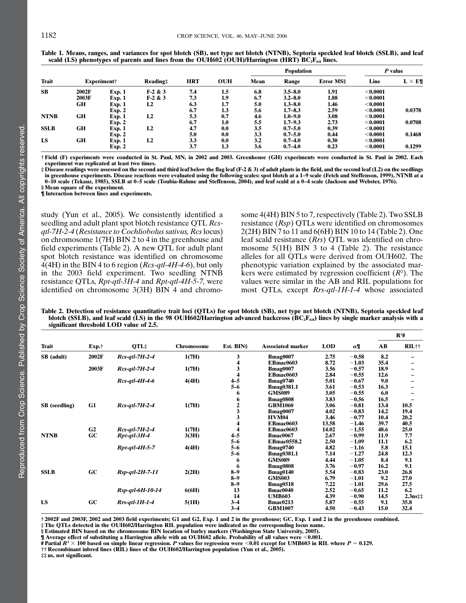| <b>Trait</b> |             |               |           |            |            | <b>Population</b> |             |                  | P value    |                |
|--------------|-------------|---------------|-----------|------------|------------|-------------------|-------------|------------------|------------|----------------|
|              | Experiment† |               | Reading:  | <b>HRT</b> | <b>OUH</b> | Mean              | Range       | <b>Error MSS</b> | Line       | $L \times E\P$ |
| <b>SB</b>    | 2002F       | Exp. 1        | $F-2 & 3$ | 7.4        | $1.5\,$    | 6.8               | $3.5 - 8.0$ | 1.91             | $<$ 0.0001 |                |
|              | 2003F       | <b>Exp. 1</b> | $F-2 & 3$ | 7.3        | 1.9        | 6.7               | $3.2 - 8.0$ | 1.88             | $<$ 0.0001 |                |
|              | GН          | <b>Exp. 1</b> | L2        | 6.3        | 1.7        | 5.0               | $1.3 - 8.0$ | 1.46             | $<$ 0.0001 |                |
|              |             | <b>Exp. 2</b> |           | 6.7        | 1.3        | 5.6               | $1.7 - 8.3$ | 2.59             | $<$ 0.0001 | 0.0378         |
| <b>NTNB</b>  | <b>GH</b>   | <b>Exp. 1</b> | L2        | 5.3        | 0.7        | 4.6               | $1.0 - 9.0$ | 3.08             | $<$ 0.0001 |                |
|              |             | <b>Exp. 2</b> |           | 6.7        | 1.0        | 5.5               | $1.7 - 9.3$ | 2.73             | $<$ 0.0001 | 0.0708         |
| <b>SSLB</b>  | GH          | <b>Exp. 1</b> | L2        | 4.7        | 0.0        | 3.5               | $0.7 - 5.0$ | 0.39             | $<$ 0.0001 |                |
|              |             | Exp. 2        |           | 5.0        | 0.0        | 3.3               | $0.7 - 5.0$ | 0.44             | $<$ 0.0001 | 0.1468         |
| LS           | GH          | <b>Exp. 1</b> | L2        | 3.3        | 0.0        | 3.2               | $0.7 - 4.0$ | 0.30             | < 0.0001   |                |
|              |             | <b>Exp. 2</b> |           | 3.7        | 1.3        | 3.6               | $0.7 - 4.0$ | 0.23             | $<$ 0.0001 | 0.1299         |

Table 1. Means, ranges, and variances for spot blotch (SB), net type net blotch (NTNB), Septoria speckled leaf blotch (SSLB), and leaf scald (LS) phenotypes of parents and lines from the OUH602 (OUH)/Harrington (HRT)  $BC_2F_{68}$  lines.

† Field (F) experiments were conducted in St. Paul, MN, in 2002 and 2003. Greenhouse (GH) experiments were conducted in St. Paul in 2002. Each experiment was replicated at least two times.

‡ Disease readings were assessed on the second and third leaf below the flag leaf (F-2 & 3) of adult plants in the field, and the second leaf (L2) on the seedlings in greenhouse experiments. Disease reactions were evaluated using the following scales: spot blotch at a 1–9 scale (Fetch and Steffenson, 1999), NTNB at a<br>0–10 scale (Tekauz, 1985), SSLB at 0–5 scale (Toubia-Rahme and Stef

§ Mean square of the experiment.

¶ Interaction between lines and experiments.

study (Yun et al., 2005). We consistently identified a seedling and adult plant spot blotch resistance QTL Rcsqtl-7H-2-4 (Resistance to Cochliobolus sativus, Rcs locus) on chromosome 1(7H) BIN 2 to 4 in the greenhouse and field experiments (Table 2). A new QTL for adult plant spot blotch resistance was identified on chromosome  $4(4H)$  in the BIN 4 to 6 region (*Rcs-qtl-4H-4-6*), but only in the 2003 field experiment. Two seedling NTNB resistance QTLs, Rpt-qtl-3H-4 and Rpt-qtl-4H-5-7, were identified on chromosome 3(3H) BIN 4 and chromosome 4(4H) BIN 5 to 7, respectively (Table 2). Two SSLB resistance (Rsp) QTLs were identified on chromosomes 2(2H) BIN 7 to 11 and 6(6H) BIN 10 to 14 (Table 2). One leaf scald resistance (Rrs) QTL was identified on chromosome 5(1H) BIN 3 to 4 (Table 2). The resistance alleles for all QTLs were derived from OUH602. The phenotypic variation explained by the associated markers were estimated by regression coefficient  $(R^2)$ . The values were similar in the AB and RIL populations for most QTLs, except Rrs-qtl-1H-1-4 whose associated

Table 2. Detection of resistance quantitative trait loci (QTLs) for spot blotch (SB), net type net blotch (NTNB), Septoria speckled leaf blotch (SSLB), and leaf scald (LS) in the 98 OUH602/Harrington advanced backcross ( $BC_2F_{68}$ ) lines by single marker analysis with a significant threshold LOD value of 2.5.

|                      |                | QTL‡              | <b>Chromosome</b> | Est. BIN§           |                          |            | α¶      | $\mathbb{R}^2$ # |                             |
|----------------------|----------------|-------------------|-------------------|---------------------|--------------------------|------------|---------|------------------|-----------------------------|
| <b>Trait</b>         | Exp.†          |                   |                   |                     | <b>Associated marker</b> | <b>LOD</b> |         | AB               | RIL††                       |
| SB (adult)           | 2002F          | $Rcs$ -qtl-7H-2-4 | 1(7H)             | 3                   | Bmag0007                 | 2.75       | $-0.58$ | 8.2              |                             |
|                      |                |                   |                   | 4                   | EBmac0603                | 8.72       | $-1.03$ | 35.4             |                             |
|                      | 2003F          | $Rcs$ -qtl-7H-2-4 | 1(7H)             | 3                   | Bmag0007                 | 3.56       | $-0.57$ | 18.9             |                             |
|                      |                |                   |                   | $\overline{\bf{4}}$ | <b>EBmac0603</b>         | 2.84       | $-0.55$ | 12.6             |                             |
|                      |                | $Rcs$ -qtl-4H-4-6 | 4(4H)             | $4 - 5$             | <b>Bmag0740</b>          | 5.01       | $-0.67$ | 9.0              |                             |
|                      |                |                   |                   | $5 - 6$             | <b>Bmag0381.1</b>        | 3.61       | $-0.53$ | 16.3             |                             |
|                      |                |                   |                   | 6                   | <b>GMS089</b>            | 3.05       | $-0.55$ | 6.0              |                             |
|                      |                |                   |                   | 6                   | <b>Bmag0808</b>          | 3.83       | $-0.56$ | 16.5             |                             |
| <b>SB</b> (seedling) | G1             | $Rcs$ -atl-7H-2-4 | 1(7H)             |                     | <b>GBM1060</b>           | 3.06       | $-0.81$ | 13.4             | 10.5                        |
|                      |                |                   |                   | $\frac{2}{3}$       | Bmag0007                 | 4.02       | $-0.83$ | 14.2             | 19.4                        |
|                      |                |                   |                   |                     | <b>HVM04</b>             | 3.46       | $-0.77$ | 10.4             | 20.2                        |
|                      |                |                   |                   | 4                   | <b>EBmac0603</b>         | 13.58      | $-1.46$ | 39.7             | 40.5                        |
|                      | G <sub>2</sub> | $Rcs$ -qtl-7H-2-4 | 1(7H)             | 4                   | EBmac0603                | 14.02      | $-1.55$ | 48.6             | 25.0                        |
| <b>NTNB</b>          | GC             | Rpt-qtl-3H-4      | 3(3H)             | $4 - 5$             | <b>Bmac0067</b>          | 2.67       | $-0.99$ | 11.9             | 7.7                         |
|                      |                |                   |                   | $5 - 6$             | <b>EBmac0558.2</b>       | 2.50       | $-1.09$ | 11.1             | 6.2                         |
|                      |                | $Rpt$ -qtl-4H-5-7 | 4(4H)             | $5 - 6$             | <b>Bmag0740</b>          | 4.82       | $-1.16$ | 5.8              | 15.1                        |
|                      |                |                   |                   | $5 - 6$             | <b>Bmag0381.1</b>        | 7.14       | $-1.27$ | 24.8             | 12.3                        |
|                      |                |                   |                   | 6                   | <b>GMS089</b>            | 4.44       | $-1.05$ | 8.4              | 9.1                         |
|                      |                |                   |                   | 6                   | <b>Bmag0808</b>          | 3.76       | $-0.97$ | 16.2             | 9.1                         |
| <b>SSLB</b>          | GC             | Rsp-qtl-2H-7-11   | 2(2H)             | $8 - 9$             | <b>Bmag0140</b>          | 5.54       | $-0.83$ | 23.0             | 26.8                        |
|                      |                |                   |                   | $8 - 9$             | <b>GMS003</b>            | 6.79       | $-1.01$ | 9.2              | 27.0                        |
|                      |                |                   |                   | $8 - 9$             | <b>Bmag0518</b>          | 7.22       | $-1.01$ | 29.6             | 27.5                        |
|                      |                | Rsp-qtl-6H-10-14  | 6(6H)             | 13                  | <b>Bmac0040</b>          | 2.52       | $-0.65$ | 11.2             | 6.2                         |
|                      |                |                   |                   | 14                  | <b>UMB603</b>            | 4.39       | $-0.90$ | 14.5             | $2.3$ ns $\ddagger\ddagger$ |
| LS                   | GC             | $Rrs-qtl-1H-1-4$  | 5(1H)             | $3 - 4$             | <b>Bmac0213</b>          | 5.87       | $-0.55$ | 9.1              | 35.8                        |
|                      |                |                   |                   | $3 - 4$             | <b>GBM1007</b>           | 4.50       | $-0.43$ | 15.0             | 32.4                        |

† 2002F and 2003F, 2002 and 2003 field experiments; G1 and G2, Exp. 1 and 2 in the greenhouse; GC, Exp. 1 and 2 in the greenhouse combined.

§Estimated BIN based on the chromosome BIN location of barley markers (Washington State University, 2005).<br>¶ Average effect of substituting a Harrington allele with an OUH602 allele. Probability of all values were <0.001.

 $\frac{2}{\pi}$  Partial  $R^2 \times 100$  based on simple linear regression. P values for regression were <0.01 except for UMB603 in RIL where P = 0.129.

†† Recombinant inbred lines (RIL) lines of the OUH602/Harrington population (Yun et al., 2005).

‡‡ ns, not significant.

<sup>‡</sup> The QTLs detected in the OUH602/Harrington RIL population were indicated as the corresponding locus name.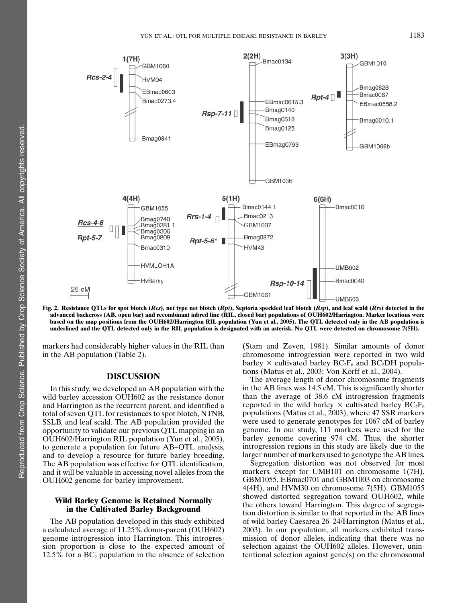

Fig. 2. Resistance QTLs for spot blotch (Rcs), net type net blotch (Rpt), Septoria speckled leaf blotch (Rsp), and leaf scald (Rrs) detected in the advanced backcross (AB, open bar) and recombinant inbred line (RIL, closed bar) populations of OUH602/Harrington. Marker locations were based on the map positions from the OUH602/Harrington RIL population (Yun et al., 2005). The QTL detected only in the AB population is underlined and the QTL detected only in the RIL population is designated with an asterisk. No QTL were detected on chromosome 7(5H).

markers had considerably higher values in the RIL than in the AB population (Table 2).

# DISCUSSION

In this study, we developed an AB population with the wild barley accession OUH602 as the resistance donor and Harrington as the recurrent parent, and identified a total of seven QTL for resistances to spot blotch, NTNB, SSLB, and leaf scald. The AB population provided the opportunity to validate our previous QTL mapping in an OUH602/Harrington RIL population (Yun et al., 2005), to generate a population for future AB–QTL analysis, and to develop a resource for future barley breeding. The AB population was effective for QTL identification, and it will be valuable in accessing novel alleles from the OUH602 genome for barley improvement.

# Wild Barley Genome is Retained Normally in the Cultivated Barley Background

The AB population developed in this study exhibited a calculated average of 11.25% donor-parent (OUH602) genome introgression into Harrington. This introgression proportion is close to the expected amount of 12.5% for a  $BC_2$  population in the absence of selection

(Stam and Zeven, 1981). Similar amounts of donor chromosome introgression were reported in two wild barley  $\times$  cultivated barley BC<sub>2</sub>F<sub>6</sub> and BC<sub>2</sub>DH populations (Matus et al., 2003; Von Korff et al., 2004).

The average length of donor chromosome fragments in the AB lines was 14.5 cM. This is significantly shorter than the average of 38.6 cM introgression fragments reported in the wild barley  $\times$  cultivated barley BC<sub>2</sub>F<sub>6</sub> populations (Matus et al., 2003), where 47 SSR markers were used to generate genotypes for 1067 cM of barley genome. In our study, 111 markers were used for the barley genome covering 974 cM. Thus, the shorter introgression regions in this study are likely due to the larger number of markers used to genotype the AB lines.

Segregation distortion was not observed for most markers, except for UMB101 on chromosome 1(7H), GBM1055, EBmac0701 and GBM1003 on chromosome 4(4H), and HVM30 on chromosome 7(5H). GBM1055 showed distorted segregation toward OUH602, while the others toward Harrington. This degree of segregation distortion is similar to that reported in the AB lines of wild barley Caesarea 26–24/Harrington (Matus et al., 2003). In our population, all markers exhibited transmission of donor alleles, indicating that there was no selection against the OUH602 alleles. However, unintentional selection against gene(s) on the chromosomal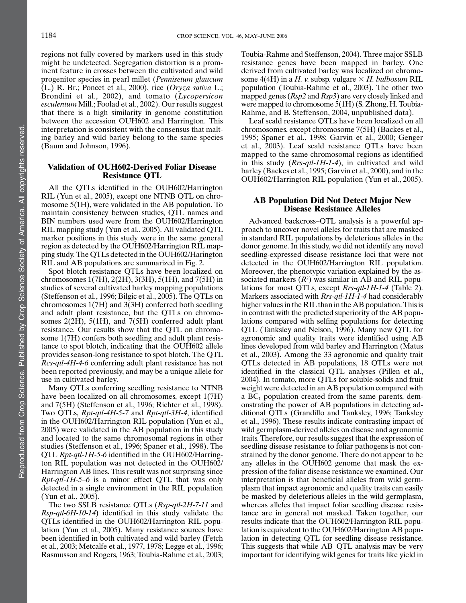regions not fully covered by markers used in this study might be undetected. Segregation distortion is a prominent feature in crosses between the cultivated and wild progenitor species in pearl millet (Pennisetum glaucum (L.) R. Br.; Poncet et al., 2000), rice  $Oryza sativa L$ .; Brondini et al., 2002), and tomato (Lycopersicon esculentum Mill.; Foolad et al., 2002). Our results suggest that there is a high similarity in genome constitution between the accession OUH602 and Harrington. This interpretation is consistent with the consensus that malting barley and wild barley belong to the same species (Baum and Johnson, 1996).

# Validation of OUH602-Derived Foliar Disease Resistance QTL

All the QTLs identified in the OUH602/Harrington RIL (Yun et al., 2005), except one NTNB QTL on chromosome 5(1H), were validated in the AB population. To maintain consistency between studies, QTL names and BIN numbers used were from the OUH602/Harrington RIL mapping study (Yun et al., 2005). All validated QTL marker positions in this study were in the same general region as detected by the OUH602/Harrington RIL mapping study. The QTLs detected in the OUH602/Harington RIL and AB populations are summarized in Fig. 2.

Spot blotch resistance QTLs have been localized on chromosomes 1(7H), 2(2H), 3(3H), 5(1H), and 7(5H) in studies of several cultivated barley mapping populations (Steffenson et al., 1996; Bilgic et al., 2005). The QTLs on chromosomes 1(7H) and 3(3H) conferred both seedling and adult plant resistance, but the QTLs on chromosomes 2(2H), 5(1H), and 7(5H) conferred adult plant resistance. Our results show that the QTL on chromosome 1(7H) confers both seedling and adult plant resistance to spot blotch, indicating that the OUH602 allele provides season-long resistance to spot blotch. The QTL Rcs-qtl-4H-4-6 conferring adult plant resistance has not been reported previously, and may be a unique allele for use in cultivated barley.

Many QTLs conferring seedling resistance to NTNB have been localized on all chromosomes, except 1(7H) and 7(5H) (Steffenson et al., 1996; Richter et al., 1998). Two QTLs, Rpt-qtl-4H-5-7 and Rpt-qtl-3H-4, identified in the OUH602/Harrington RIL population (Yun et al., 2005) were validated in the AB population in this study and located to the same chromosomal regions in other studies (Steffenson et al., 1996; Spaner et al., 1998). The QTL Rpt-qtl-1H-5-6 identified in the OUH602/Harrington RIL population was not detected in the OUH602/ Harrington AB lines. This result was not surprising since *Rpt-qtl-1H-5–6* is a minor effect QTL that was only detected in a single environment in the RIL population (Yun et al., 2005).

The two SSLB resistance QTLs (Rsp-qtl-2H-7-11 and Rsp-qtl-6H-10-14) identified in this study validate the QTLs identified in the OUH602/Harrington RIL population (Yun et al., 2005). Many resistance sources have been identified in both cultivated and wild barley (Fetch et al., 2003; Metcalfe et al., 1977, 1978; Legge et al., 1996; Rasmusson and Rogers, 1963; Toubia-Rahme et al., 2003;

Toubia-Rahme and Steffenson, 2004). Three major SSLB resistance genes have been mapped in barley. One derived from cultivated barley was localized on chromosome 4(4H) in a H. v. subsp. vulgare  $\times$  H. bulbosum RIL population (Toubia-Rahme et al., 2003). The other two mapped genes (Rsp2 and Rsp3) are very closely linked and were mapped to chromosome 5(1H) (S. Zhong, H. Toubia-Rahme, and B. Steffenson, 2004, unpublished data).

Leaf scald resistance QTLs have been localized on all chromosomes, except chromosome 7(5H) (Backes et al., 1995; Spaner et al., 1998; Garvin et al., 2000; Genger et al., 2003). Leaf scald resistance QTLs have been mapped to the same chromosomal regions as identified in this study  $(Rrs-qt-1H-1-4)$ , in cultivated and wild barley (Backes et al., 1995; Garvin et al., 2000), and in the OUH602/Harrington RIL population (Yun et al., 2005).

# AB Population Did Not Detect Major New Disease Resistance Alleles

Advanced backcross–QTL analysis is a powerful approach to uncover novel alleles for traits that are masked in standard RIL populations by deleterious alleles in the donor genome. In this study, we did not identify any novel seedling-expressed disease resistance loci that were not detected in the OUH602/Harrington RIL population. Moreover, the phenotypic variation explained by the associated markers  $(R^2)$  was similar in AB and RIL populations for most QTLs, except Rrs-qtl-1H-1-4 (Table 2). Markers associated with *Rrs-qtl-1H-1-4* had considerably higher values in the RIL than in the AB population. This is in contrast with the predicted superiority of the AB populations compared with selfing populations for detecting QTL (Tanksley and Nelson, 1996). Many new QTL for agronomic and quality traits were identified using AB lines developed from wild barley and Harrington (Matus et al., 2003). Among the 33 agronomic and quality trait QTLs detected in AB populations, 18 QTLs were not identified in the classical QTL analyses (Pillen et al., 2004). In tomato, more QTLs for soluble-solids and fruit weight were detected in an AB population compared with a  $BC_1$  population created from the same parents, demonstrating the power of AB populations in detecting additional QTLs (Grandillo and Tanksley, 1996; Tanksley et al., 1996). These results indicate contrasting impact of wild germplasm-derived alleles on disease and agronomic traits. Therefore, our results suggest that the expression of seedling disease resistance to foliar pathogens is not constrained by the donor genome. There do not appear to be any alleles in the OUH602 genome that mask the expression of the foliar disease resistance we examined. Our interpretation is that beneficial alleles from wild germplasm that impact agronomic and quality traits can easily be masked by deleterious alleles in the wild germplasm, whereas alleles that impact foliar seedling disease resistance are in general not masked. Taken together, our results indicate that the OUH602/Harrington RIL population is equivalent to the OUH602/Harrington AB population in detecting QTL for seedling disease resistance. This suggests that while AB–QTL analysis may be very important for identifying wild genes for traits like yield in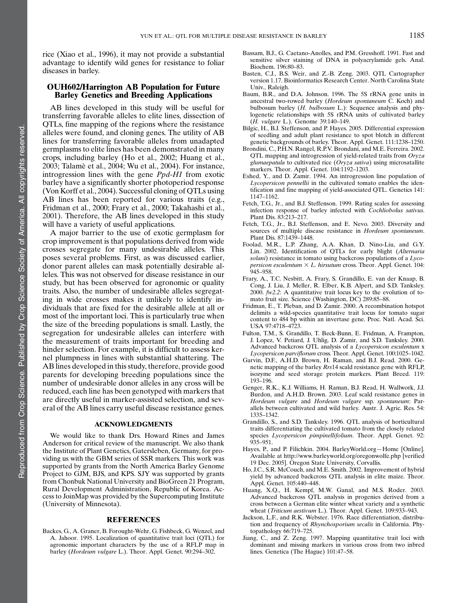rice (Xiao et al., 1996), it may not provide a substantial advantage to identify wild genes for resistance to foliar diseases in barley.

# OUH602/Harrington AB Population for Future Barley Genetics and Breeding Applications

AB lines developed in this study will be useful for transferring favorable alleles to elite lines, dissection of QTLs, fine mapping of the regions where the resistance alleles were found, and cloning genes. The utility of AB lines for transferring favorable alleles from unadapted germplasms to elite lines has been demonstrated in many crops, including barley (Ho et al., 2002; Huang et al., 2003; Talame` et al., 2004; Wu et al., 2004). For instance, introgression lines with the gene Ppd-H1 from exotic barley have a significantly shorter photoperiod response (Von Korff et al., 2004). Successful cloning of QTLs using AB lines has been reported for various traits (e.g., Fridman et al., 2000; Frary et al., 2000; Takahashi et al., 2001). Therefore, the AB lines developed in this study will have a variety of useful applications.

A major barrier to the use of exotic germplasm for crop improvement is that populations derived from wide crosses segregate for many undesirable alleles. This poses several problems. First, as was discussed earlier, donor parent alleles can mask potentially desirable alleles. This was not observed for disease resistance in our study, but has been observed for agronomic or quality traits. Also, the number of undesirable alleles segregating in wide crosses makes it unlikely to identify individuals that are fixed for the desirable allele at all or most of the important loci. This is particularly true when the size of the breeding populations is small. Lastly, the segregation for undesirable alleles can interfere with the measurement of traits important for breeding and hinder selection. For example, it is difficult to assess kernel plumpness in lines with substantial shattering. The AB lines developed in this study, therefore, provide good parents for developing breeding populations since the number of undesirable donor alleles in any cross will be reduced, each line has been genotyped with markers that are directly useful in marker-assisted selection, and several of the AB lines carry useful disease resistance genes.

### ACKNOWLEDGMENTS

We would like to thank Drs. Howard Rines and James Anderson for critical review of the manuscript. We also thank the Institute of Plant Genetics, Gatersleben, Germany, for providing us with the GBM series of SSR markers. This work was supported by grants from the North America Barley Genome Project to GJM, BJS, and KPS. SJY was supported by grants from Chonbuk National University and BioGreen 21 Program, Rural Development Administration, Republic of Korea. Access to JoinMap was provided by the Supercomputing Institute (University of Minnesota).

#### REFERENCES

Backes, G., A. Graner, B. Forought-Wehr, G. Fishbeck, G. Wenzel, and A. Jahoor. 1995. Localization of quantitative trait loci (QTL) for agronomic important characters by the use of a RFLP map in barley (Hordeum vulgare L.). Theor. Appl. Genet. 90:294–302.

- Bassam, B.J., G. Caetano-Anolles, and P.M. Gresshoff. 1991. Fast and sensitive silver staining of DNA in polyacrylamide gels. Anal. Biochem. 196:80–83.
- Basten, C.J., B.S. Weir, and Z.-B. Zeng. 2003. QTL Cartographer version 1.17. Bioinformatics Research Center. North Carolina State Univ., Raleigh.
- Baum, B.R., and D.A. Johnson. 1996. The 5S rRNA gene units in ancestral two-rowed barley (Hordeum spontaneum C. Koch) and bulbosum barley (H. bulbosum L.): Sequence analysis and phylogenetic relationships with 5S rRNA units of cultivated barley (H. vulgare L.). Genome 39:140–149.
- Bilgic, H., B.J. Steffenson, and P. Hayes. 2005. Differential expression of seedling and adult plant resistance to spot blotch in different genetic backgrounds of barley. Theor. Appl. Genet. 111:1238–1250.
- Brondini, C., P.H.N. Rangel, R.P.V. Brondani, and M.E. Ferreira. 2002. QTL mapping and introgression of yield-related traits from Oryza glumaepatula to cultivated rice  $(Oryza sativa)$  using microsatallite markers. Theor. Appl. Genet. 104:1192–1203.
- Eshed, Y., and D. Zamir. 1994. An introgression line population of Lycopersicon pennellii in the cultivated tomato enables the identification and fine mapping of yield-associated QTL. Genetics 141: 1147–1162.
- Fetch, T.G., Jr., and B.J. Steffenson. 1999. Rating scales for assessing infection response of barley infected with Cochliobolus sativus. Plant Dis. 83:213–217.
- Fetch, T.G., Jr., B.J. Steffenson, and E. Nevo. 2003. Diversity and sources of multiple disease resistance in Hordeum spontaneum. Plant Dis. 87:1439–1448.
- Foolad, M.R., L.P. Zhang, A.A. Khan, D. Nino-Liu, and G.Y. Lin. 2002. Identification of QTLs for early blight (Alternaria solani) resistance in tomato using backcross populations of a Lyco*persicon esculentum*  $\times$  *L. hirsutum* cross. Theor. Appl. Genet. 104: 945–958.
- Frary, A., T.C. Nesbitt, A. Frary, S. Grandillo, E. van der Knaap, B. Cong, J. Liu, J. Meller, R. Elber, K.B. Alpert, and S.D. Tanksley. 2000.  $fw2.2$ : A quantitative trait locus key to the evolution of tomato fruit size. Science (Washington, DC) 289:85–88.
- Fridman, E., T. Pleban, and D. Zamir. 2000. A recombination hotspot delimits a wild-species quantitative trait locus for tomato sugar content to 484 bp within an invertase gene. Proc. Natl. Acad. Sci. USA 97:4718–4723.
- Fulton, T.M., S. Grandillo, T. Beck-Bunn, E. Fridman, A. Frampton, J. Lopez, V. Petiard, J. Uhlig, D. Zamir, and S.D. Tanksley. 2000. Advanced backcross QTL analysis of a Lycopersicon esculentum x Lycopersicon parviflorum cross. Theor. Appl. Genet. 100:1025–1042.
- Garvin, D.F., A.H.D. Brown, H. Raman, and B.J. Read. 2000. Genetic mapping of the barley Rrs14 scald resistance gene with RFLP, isozyme and seed storage protein markers. Plant Breed. 119: 193–196.
- Genger, R.K., K.J. Williams, H. Raman, B.J. Read, H. Wallwork, J.J. Burdon, and A.H.D. Brown. 2003. Leaf scald resistance genes in Hordeum vulgare and Hordeum vulgare ssp. spontaneum: Parallels between cultivated and wild barley. Austr. J. Agric. Res. 54: 1335–1342.
- Grandillo, S., and S.D. Tanksley. 1996. QTL analysis of horticultural traits differentiating the cultivated tomato from the closely related species Lycopersicon pimpinellifolium. Theor. Appl. Genet. 92: 935–951.
- Hayes, P., and P. Filichkin. 2004. BarleyWorld.org—Home [Online]. Available at http://www.barleyworld.org/oregonwolfe.php [verified 19 Dec. 2005]. Oregon State University, Corvallis.
- Ho, J.C., S.R. McCouch, and M.E. Smith. 2002. Improvement of hybrid yield by advanced backcross QTL analysis in elite maize. Theor. Appl. Genet. 105:440–448.
- Huang, X.Q., H. Kempf, M.W. Ganal, and M.S. Roder. 2003. Advanced backcross QTL analysis in progenies derived from a cross between a German elite winter wheat variety and a synthetic wheat (Triticum aestivum L.). Theor. Appl. Genet. 109:933–943.
- Jackson, L.F., and R.K. Webster. 1976. Race differentiation, distribution and frequency of Rhynchosporium secalis in California. Phytopathology 66:719–725.
- Jiang, C., and Z. Zeng. 1997. Mapping quantitative trait loci with dominant and missing markers in various cross from two inbred lines. Genetica (The Hague) 101:47–58.